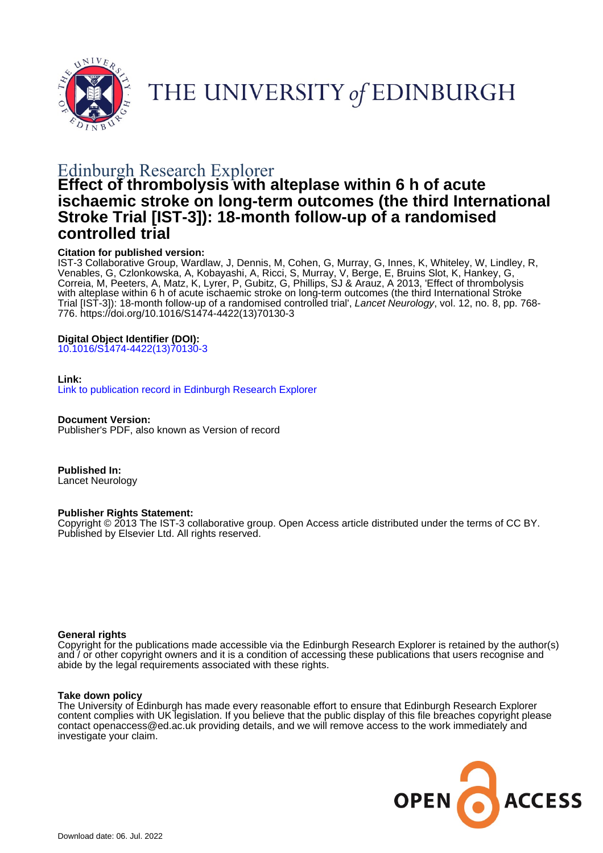

# THE UNIVERSITY of EDINBURGH

## Edinburgh Research Explorer

## **Effect of thrombolysis with alteplase within 6 h of acute ischaemic stroke on long-term outcomes (the third International Stroke Trial [IST-3]): 18-month follow-up of a randomised controlled trial**

## **Citation for published version:**

IST-3 Collaborative Group, Wardlaw, J, Dennis, M, Cohen, G, Murray, G, Innes, K, Whiteley, W, Lindley, R, Venables, G, Czlonkowska, A, Kobayashi, A, Ricci, S, Murray, V, Berge, E, Bruins Slot, K, Hankey, G, Correia, M, Peeters, A, Matz, K, Lyrer, P, Gubitz, G, Phillips, SJ & Arauz, A 2013, 'Effect of thrombolysis with alteplase within 6 h of acute ischaemic stroke on long-term outcomes (the third International Stroke Trial [IST-3]): 18-month follow-up of a randomised controlled trial', Lancet Neurology, vol. 12, no. 8, pp. 768- 776. [https://doi.org/10.1016/S1474-4422\(13\)70130-3](https://doi.org/10.1016/S1474-4422(13)70130-3)

## **Digital Object Identifier (DOI):**

[10.1016/S1474-4422\(13\)70130-3](https://doi.org/10.1016/S1474-4422(13)70130-3)

## **Link:**

[Link to publication record in Edinburgh Research Explorer](https://www.research.ed.ac.uk/en/publications/37e4edbb-61c7-4639-afad-984f4e033d54)

**Document Version:** Publisher's PDF, also known as Version of record

**Published In:** Lancet Neurology

## **Publisher Rights Statement:**

Copyright © 2013 The IST-3 collaborative group. Open Access article distributed under the terms of CC BY. Published by Elsevier Ltd. All rights reserved.

## **General rights**

Copyright for the publications made accessible via the Edinburgh Research Explorer is retained by the author(s) and / or other copyright owners and it is a condition of accessing these publications that users recognise and abide by the legal requirements associated with these rights.

## **Take down policy**

The University of Edinburgh has made every reasonable effort to ensure that Edinburgh Research Explorer content complies with UK legislation. If you believe that the public display of this file breaches copyright please contact openaccess@ed.ac.uk providing details, and we will remove access to the work immediately and investigate your claim.

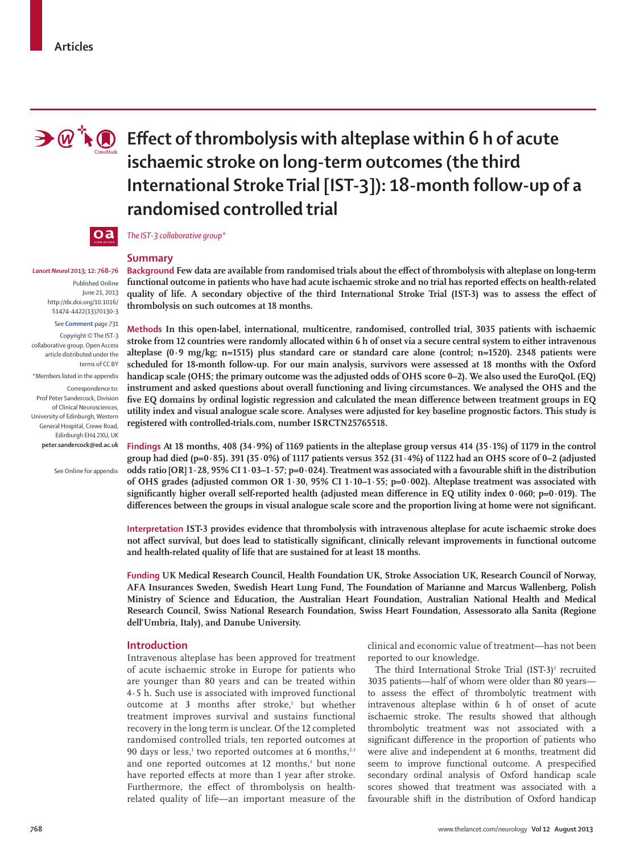

# **Effect of thrombolysis with alteplase within 6 h of acute ischaemic stroke on long-term outcomes (the third International Stroke Trial [IST-3]): 18-month follow-up of a randomised controlled trial**



*The IST-3 collaborative group\**

#### *Lancet Neurol* **2013; 12: 768–76**

Published **Online** June 21, 2013 http://dx.doi.org/10.1016/ S1474-4422(13)70130-3

See **Comment** page 731 Copyright © The IST-3 collaborative group. Open Access article distributed under the terms of CC BY

\*Members listed in the appendix

Correspondence to: Prof Peter Sandercock, Division of Clinical Neurosciences, University of Edinburgh, Western General Hospital, Crewe Road, Edinburgh EH4 2XU, UK **peter.sandercock@ed.ac.uk**

See **Online** for appendix

## **Summary**

**Background Few data are available from randomised trials about the effect of thrombolysis with alteplase on long-term** functional outcome in patients who have had acute ischaemic stroke and no trial has reported effects on health-related quality of life. A secondary objective of the third International Stroke Trial (IST-3) was to assess the effect of **thrombolysis on such outcomes at 18 months.**

Methods In this open-label, international, multicentre, randomised, controlled trial, 3035 patients with ischaemic **stroke from 12 countries were randomly allocated within 6 h of onset via a secure central system to either intravenous**  alteplase (0·9 mg/kg; n=1515) plus standard care or standard care alone (control; n=1520). 2348 patients were **scheduled for 18-month follow-up. For our main analysis, survivors were assessed at 18 months with the Oxford handicap scale (OHS; the primary outcome was the adjusted odds of OHS score 0–2). We also used the EuroQoL (EQ)**  instrument and asked questions about overall functioning and living circumstances. We analysed the OHS and the five EQ domains by ordinal logistic regression and calculated the mean difference between treatment groups in EQ **utility index and visual analogue scale score. Analyses were adjusted for key baseline prognostic factors. This study is registered with controlled-trials.com, number ISRCTN25765518.**

**Findings At 18 months, 408 (34·9%) of 1169 patients in the alteplase group versus 414 (35·1%) of 1179 in the control group had died (p=0·85). 391 (35·0%) of 1117 patients versus 352 (31·4%) of 1122 had an OHS score of 0–2 (adjusted odds ratio [OR] 1·28, 95% CI 1·03–1·57; p=0·024). Treatment was associated with a favourable shift in the distribution of OHS grades (adjusted common OR 1·30, 95% CI 1·10–1·55; p=0·002). Alteplase treatment was associated with**  significantly higher overall self-reported health (adjusted mean difference in EQ utility index 0·060; p=0·019). The differences between the groups in visual analogue scale score and the proportion living at home were not significant.

**Interpretation IST-3 provides evidence that thrombolysis with intravenous alteplase for acute ischaemic stroke does not aff ect survival, but does lead to statistically significant, clinically relevant improvements in functional outcome and health-related quality of life that are sustained for at least 18 months.** 

**Funding UK Medical Research Council, Health Foundation UK, Stroke Association UK, Research Council of Norway, AFA Insurances Sweden, Swedish Heart Lung Fund, The Foundation of Marianne and Marcus Wallenberg, Polish Ministry of Science and Education, the Australian Heart Foundation, Australian National Health and Medical Research Council, Swiss National Research Foundation, Swiss Heart Foundation, Assessorato alla Sanita (Regione dell'Umbria, Italy), and Danube University.**

## **Introduction**

Intravenous alteplase has been approved for treatment of acute ischaemic stroke in Europe for patients who are younger than 80 years and can be treated within 4·5 h. Such use is associated with improved functional outcome at 3 months after stroke,<sup>1</sup> but whether treatment improves survival and sustains functional recovery in the long term is unclear. Of the 12 completed randomised controlled trials, ten reported outcomes at 90 days or less, $1$  two reported outcomes at 6 months, $2,3$ and one reported outcomes at 12 months,<sup>3</sup> but none have reported effects at more than 1 year after stroke. Furthermore, the effect of thrombolysis on healthrelated quality of life—an important measure of the

clinical and economic value of treatment—has not been reported to our knowledge.

The third International Stroke Trial  $(IST-3)^2$  recruited 3035 patients—half of whom were older than 80 years to assess the effect of thrombolytic treatment with intravenous alteplase within 6 h of onset of acute ischaemic stroke. The results showed that although thrombolytic treatment was not associated with a significant difference in the proportion of patients who were alive and independent at 6 months, treatment did seem to improve functional outcome. A prespecified secondary ordinal analysis of Oxford handicap scale scores showed that treatment was associated with a favourable shift in the distribution of Oxford handicap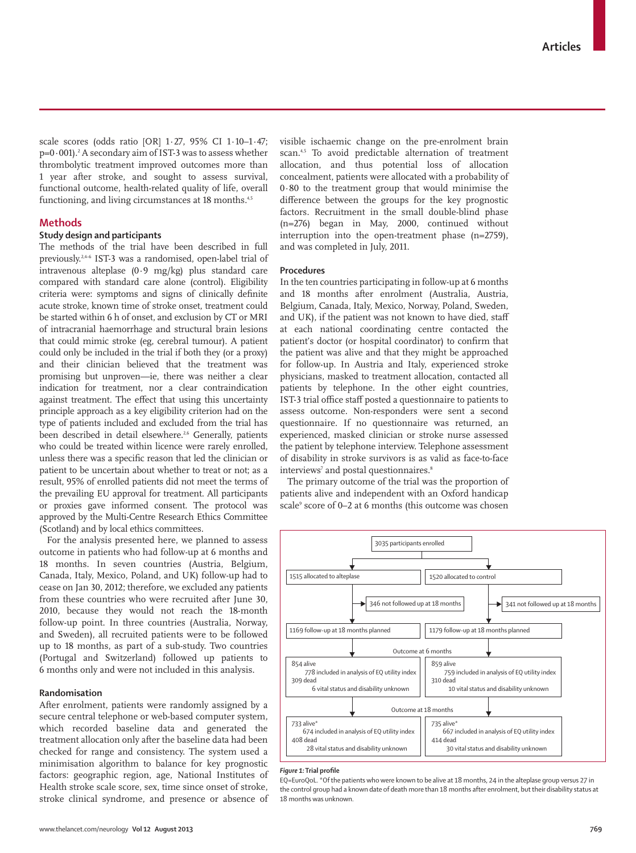scale scores (odds ratio [OR] 1·27, 95% CI 1·10–1·47;  $p=0.001$ ). $^{2}$  A secondary aim of IST-3 was to assess whether thrombolytic treatment improved outcomes more than 1 year after stroke, and sought to assess survival, functional outcome, health-related quality of life, overall functioning, and living circumstances at 18 months.<sup>4,5</sup>

## **Methods**

## **Study design and participants**

The methods of the trial have been described in full previously.2,4–6 IST-3 was a randomised, open-label trial of intravenous alteplase (0·9 mg/kg) plus standard care compared with standard care alone (control). Eligibility criteria were: symptoms and signs of clinically definite acute stroke, known time of stroke onset, treatment could be started within 6 h of onset, and exclusion by CT or MRI of intracranial haemorrhage and structural brain lesions that could mimic stroke (eg, cerebral tumour). A patient could only be included in the trial if both they (or a proxy) and their clinician believed that the treatment was promising but unproven—ie, there was neither a clear indication for treatment, nor a clear contraindication against treatment. The effect that using this uncertainty principle approach as a key eligibility criterion had on the type of patients included and excluded from the trial has been described in detail elsewhere.<sup>2,6</sup> Generally, patients who could be treated within licence were rarely enrolled, unless there was a specific reason that led the clinician or patient to be uncertain about whether to treat or not; as a result, 95% of enrolled patients did not meet the terms of the prevailing EU approval for treatment. All participants or proxies gave informed consent. The protocol was approved by the Multi-Centre Research Ethics Committee (Scotland) and by local ethics committees.

For the analysis presented here, we planned to assess outcome in patients who had follow-up at 6 months and 18 months. In seven countries (Austria, Belgium, Canada, Italy, Mexico, Poland, and UK) follow-up had to cease on Jan 30, 2012; therefore, we excluded any patients from these countries who were recruited after June 30, 2010, because they would not reach the 18-month follow-up point. In three countries (Australia, Norway, and Sweden), all recruited patients were to be followed up to 18 months, as part of a sub-study. Two countries (Portugal and Switzerland) followed up patients to 6 months only and were not included in this analysis.

## **Randomisation**

After enrolment, patients were randomly assigned by a secure central telephone or web-based computer system, which recorded baseline data and generated the treatment allocation only after the baseline data had been checked for range and consistency. The system used a minimisation algorithm to balance for key prognostic factors: geographic region, age, National Institutes of Health stroke scale score, sex, time since onset of stroke, stroke clinical syndrome, and presence or absence of visible ischaemic change on the pre-enrolment brain scan.<sup>4,5</sup> To avoid predictable alternation of treatment allocation, and thus potential loss of allocation concealment, patients were allocated with a probability of 0·80 to the treatment group that would minimise the difference between the groups for the key prognostic factors. Recruitment in the small double-blind phase (n=276) began in May, 2000, continued without interruption into the open-treatment phase (n=2759), and was completed in July, 2011.

#### **Procedures**

In the ten countries participating in follow-up at 6 months and 18 months after enrolment (Australia, Austria, Belgium, Canada, Italy, Mexico, Norway, Poland, Sweden, and UK), if the patient was not known to have died, staff at each national coordinating centre contacted the patient's doctor (or hospital coordinator) to confirm that the patient was alive and that they might be approached for follow-up. In Austria and Italy, experienced stroke physicians, masked to treatment allocation, contacted all patients by telephone. In the other eight countries, IST-3 trial office staff posted a questionnaire to patients to assess outcome. Non-responders were sent a second questionnaire. If no questionnaire was returned, an experienced, masked clinician or stroke nurse assessed the patient by telephone interview. Telephone assessment of disability in stroke survivors is as valid as face-to-face interviews<sup>7</sup> and postal questionnaires.<sup>8</sup>

The primary outcome of the trial was the proportion of patients alive and independent with an Oxford handicap scale<sup>9</sup> score of 0–2 at 6 months (this outcome was chosen



#### *Figure 1:* **Trial profi le**

EQ=EuroQoL. \*Of the patients who were known to be alive at 18 months, 24 in the alteplase group versus 27 in the control group had a known date of death more than 18 months after enrolment, but their disability status at 18 months was unknown.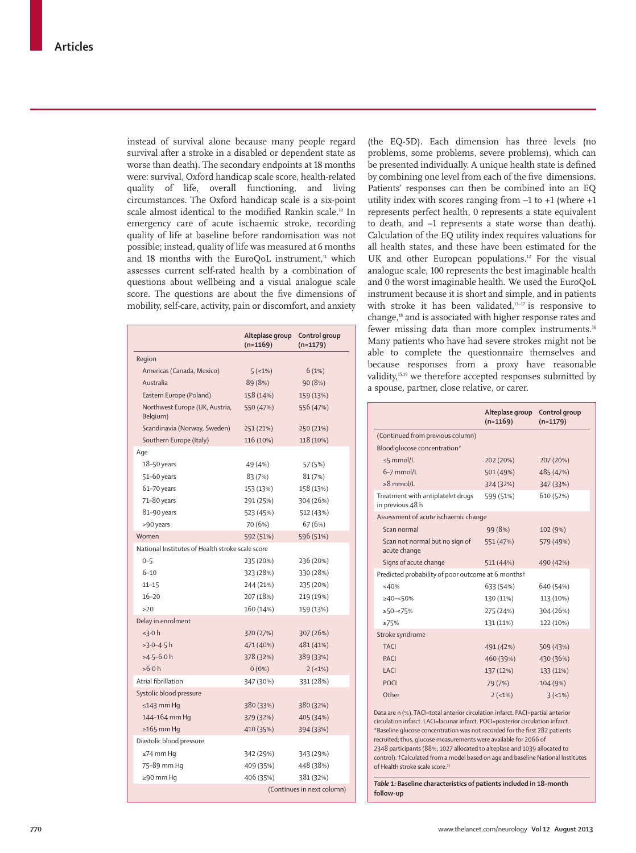instead of survival alone because many people regard survival after a stroke in a disabled or dependent state as worse than death). The secondary endpoints at 18 months were: survival, Oxford handicap scale score, health-related quality of life, overall functioning, and living circumstances. The Oxford handicap scale is a six-point scale almost identical to the modified Rankin scale.<sup>10</sup> In emergency care of acute ischaemic stroke, recording quality of life at baseline before randomisation was not possible; instead, quality of life was measured at 6 months and 18 months with the EuroQoL instrument, $11$  which assesses current self-rated health by a combination of questions about wellbeing and a visual analogue scale score. The questions are about the five dimensions of mobility, self-care, activity, pain or discomfort, and anxiety

|                                                  | Alteplase group<br>$(n=1169)$ | Control group<br>$(n=1179)$ |  |  |  |  |
|--------------------------------------------------|-------------------------------|-----------------------------|--|--|--|--|
| Region                                           |                               |                             |  |  |  |  |
| Americas (Canada, Mexico)                        | 5(1%)                         | 6(1%)                       |  |  |  |  |
| Australia                                        | 89 (8%)                       | 90 (8%)                     |  |  |  |  |
| Eastern Europe (Poland)                          | 158 (14%)                     | 159 (13%)                   |  |  |  |  |
| Northwest Europe (UK, Austria,<br>Belgium)       | 550 (47%)                     | 556 (47%)                   |  |  |  |  |
| Scandinavia (Norway, Sweden)                     | 251 (21%)                     | 250 (21%)                   |  |  |  |  |
| Southern Europe (Italy)                          | 116 (10%)                     | 118 (10%)                   |  |  |  |  |
| Age                                              |                               |                             |  |  |  |  |
| 18-50 years                                      | 49 (4%)                       | 57 (5%)                     |  |  |  |  |
| 51-60 years                                      | 83 (7%)                       | 81 (7%)                     |  |  |  |  |
| 61-70 years                                      | 153 (13%)                     | 158 (13%)                   |  |  |  |  |
| 71-80 years                                      | 291 (25%)                     | 304 (26%)                   |  |  |  |  |
| 81-90 years                                      | 523 (45%)                     | 512 (43%)                   |  |  |  |  |
| >90 years                                        | 70 (6%)                       | 67 (6%)                     |  |  |  |  |
| Women                                            | 592 (51%)                     | 596 (51%)                   |  |  |  |  |
| National Institutes of Health stroke scale score |                               |                             |  |  |  |  |
| $0 - 5$                                          | 235 (20%)                     | 236 (20%)                   |  |  |  |  |
| $6 - 10$                                         | 323 (28%)                     | 330 (28%)                   |  |  |  |  |
| $11 - 15$                                        | 244 (21%)                     | 235 (20%)                   |  |  |  |  |
| $16 - 20$                                        | 207 (18%)                     | 219 (19%)                   |  |  |  |  |
| >20                                              | 160 (14%)                     | 159 (13%)                   |  |  |  |  |
| Delay in enrolment                               |                               |                             |  |  |  |  |
| ≤3.0 h                                           | 320 (27%)                     | 307 (26%)                   |  |  |  |  |
| $>3.0 - 4.5$ h                                   | 471 (40%)                     | 481 (41%)                   |  |  |  |  |
| $>4.5-6.0 h$                                     | 378 (32%)                     | 389 (33%)                   |  |  |  |  |
| >6.0 h                                           | $0(0\%)$                      | $2(-1%)$                    |  |  |  |  |
| Atrial fibrillation                              | 347 (30%)                     | 331 (28%)                   |  |  |  |  |
| Systolic blood pressure                          |                               |                             |  |  |  |  |
| $\leq$ 143 mm Hq                                 | 380 (33%)                     | 380 (32%)                   |  |  |  |  |
| 144-164 mm Hq                                    | 379 (32%)                     | 405 (34%)                   |  |  |  |  |
| $\geq$ 165 mm Hq                                 | 410 (35%)                     | 394 (33%)                   |  |  |  |  |
| Diastolic blood pressure                         |                               |                             |  |  |  |  |
| ≤74 mm Hq                                        | 342 (29%)                     | 343 (29%)                   |  |  |  |  |
| 75-89 mm Hq                                      | 409 (35%)                     | 448 (38%)                   |  |  |  |  |
| $\geq$ 90 mm Hq                                  | 406 (35%)                     | 381 (32%)                   |  |  |  |  |
|                                                  | (Continues in next column)    |                             |  |  |  |  |

(the EQ-5D). Each dimension has three levels (no problems, some problems, severe problems), which can be presented individually. A unique health state is defined by combining one level from each of the five dimensions. Patients' responses can then be combined into an EQ utility index with scores ranging from –1 to +1 (where +1 represents perfect health, 0 represents a state equivalent to death, and –1 represents a state worse than death). Calculation of the EQ utility index requires valuations for all health states, and these have been estimated for the UK and other European populations.<sup>12</sup> For the visual analogue scale, 100 represents the best imaginable health and 0 the worst imaginable health. We used the EuroQoL instrument because it is short and simple, and in patients with stroke it has been validated,<sup>13-17</sup> is responsive to change,18 and is associated with higher response rates and fewer missing data than more complex instruments.<sup>16</sup> Many patients who have had severe strokes might not be able to complete the questionnaire themselves and because responses from a proxy have reasonable validity,15,19 we therefore accepted responses submitted by a spouse, partner, close relative, or carer.

|                                                       | Alteplase group<br>$(n=1169)$ | Control group<br>$(n=1179)$ |  |  |  |  |  |
|-------------------------------------------------------|-------------------------------|-----------------------------|--|--|--|--|--|
| (Continued from previous column)                      |                               |                             |  |  |  |  |  |
| Blood glucose concentration*                          |                               |                             |  |  |  |  |  |
| $\leq$ 5 mmol/L                                       | 202 (20%)                     | 207 (20%)                   |  |  |  |  |  |
| $6-7$ mmol/L                                          | 501 (49%)                     | 485 (47%)                   |  |  |  |  |  |
| $\geq 8$ mmol/L                                       | 324 (32%)                     | 347 (33%)                   |  |  |  |  |  |
| Treatment with antiplatelet drugs<br>in previous 48 h | 599 (51%)                     | 610 (52%)                   |  |  |  |  |  |
| Assessment of acute ischaemic change                  |                               |                             |  |  |  |  |  |
| Scan normal                                           | 99 (8%)                       | 102 (9%)                    |  |  |  |  |  |
| Scan not normal but no sign of<br>acute change        | 551 (47%)                     | 579 (49%)                   |  |  |  |  |  |
| Signs of acute change                                 | 511 (44%)                     | 490 (42%)                   |  |  |  |  |  |
| Predicted probability of poor outcome at 6 monthst    |                               |                             |  |  |  |  |  |
| $<$ 40%                                               | 633 (54%)                     | 640 (54%)                   |  |  |  |  |  |
| $\geq 40 - 50\%$                                      | 130 (11%)                     | 113 (10%)                   |  |  |  |  |  |
| $\geq 50 - 575\%$                                     | 275 (24%)                     | 304 (26%)                   |  |  |  |  |  |
| $\geq 75\%$                                           | 131 (11%)                     | 122 (10%)                   |  |  |  |  |  |
| Stroke syndrome                                       |                               |                             |  |  |  |  |  |
| <b>TACI</b>                                           | 491 (42%)                     | 509 (43%)                   |  |  |  |  |  |
| PACI                                                  | 460 (39%)                     | 430 (36%)                   |  |  |  |  |  |
| I ACI                                                 | 137 (12%)                     | 133 (11%)                   |  |  |  |  |  |
| <b>POCI</b>                                           | 79 (7%)                       | 104 (9%)                    |  |  |  |  |  |
| Other                                                 | $2(-1%)$                      | 3(51%)                      |  |  |  |  |  |

Data are n (%). TACI=total anterior circulation infarct. PACI=partial anterior circulation infarct. LACI=lacunar infarct. POCI=posterior circulation infarct. \*Baseline glucose concentration was not recorded for the first 282 patients recruited; thus, glucose measurements were available for 2066 of 2348 participants (88%; 1027 allocated to alteplase and 1039 allocated to control). †Calculated from a model based on age and baseline National Institutes of Health stroke scale score.<sup>2</sup>

*Table 1:* **Baseline characteristics of patients included in 18-month follow-up**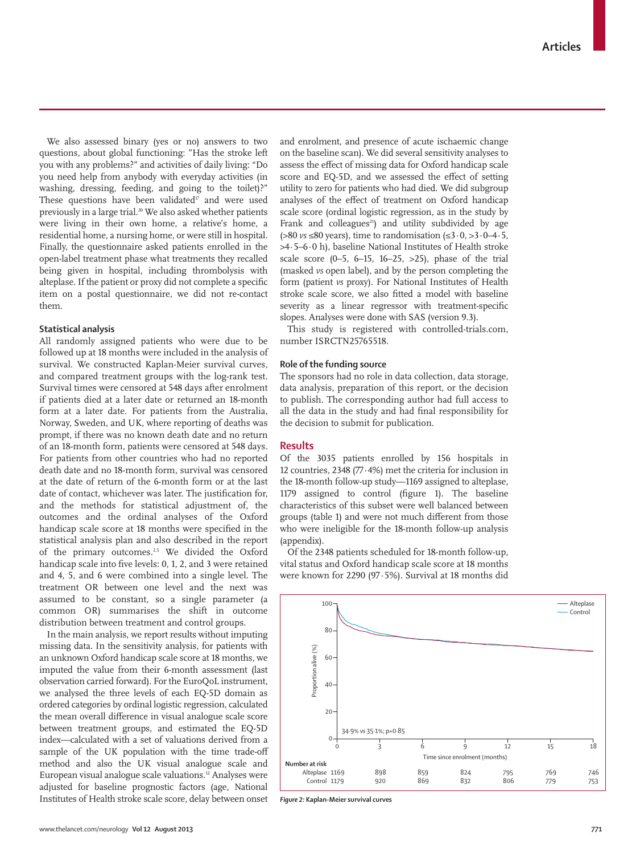We also assessed binary (yes or no) answers to two questions, about global functioning: "Has the stroke left you with any problems?" and activities of daily living: "Do you need help from anybody with everyday activities (in washing, dressing, feeding, and going to the toilet)?" These questions have been validated $17$  and were used previously in a large trial.<sup>20</sup> We also asked whether patients were living in their own home, a relative's home, a residential home, a nursing home, or were still in hospital. Finally, the questionnaire asked patients enrolled in the open-label treatment phase what treatments they recalled being given in hospital, including thrombolysis with alteplase. If the patient or proxy did not complete a specific item on a postal questionnaire, we did not re-contact them.

## **Statistical analysis**

All randomly assigned patients who were due to be followed up at 18 months were included in the analysis of survival. We constructed Kaplan-Meier survival curves, and compared treatment groups with the log-rank test. Survival times were censored at 548 days after enrolment if patients died at a later date or returned an 18-month form at a later date. For patients from the Australia, Norway, Sweden, and UK, where reporting of deaths was prompt, if there was no known death date and no return of an 18-month form, patients were censored at 548 days. For patients from other countries who had no reported death date and no 18-month form, survival was censored at the date of return of the 6-month form or at the last date of contact, whichever was later. The justification for, and the methods for statistical adjustment of, the outcomes and the ordinal analyses of the Oxford handicap scale score at 18 months were specified in the statistical analysis plan and also described in the report of the primary outcomes.<sup>2,5</sup> We divided the Oxford handicap scale into five levels: 0, 1, 2, and 3 were retained and 4, 5, and 6 were combined into a single level. The treatment OR between one level and the next was assumed to be constant, so a single parameter (a common OR) summarises the shift in outcome distribution between treatment and control groups.

In the main analysis, we report results without imputing missing data. In the sensitivity analysis, for patients with an unknown Oxford handicap scale score at 18 months, we imputed the value from their 6-month assessment (last observation carried forward). For the EuroQoL instrument, we analysed the three levels of each EQ-5D domain as ordered categories by ordinal logistic regression, calculated the mean overall difference in visual analogue scale score between treatment groups, and estimated the EQ-5D index—calculated with a set of valuations derived from a sample of the UK population with the time trade-off method and also the UK visual analogue scale and European visual analogue scale valuations.<sup>12</sup> Analyses were adjusted for baseline prognostic factors (age, National Institutes of Health stroke scale score, delay between onset and enrolment, and presence of acute ischaemic change on the baseline scan). We did several sensitivity analyses to assess the effect of missing data for Oxford handicap scale score and EQ-5D, and we assessed the effect of setting utility to zero for patients who had died. We did subgroup analyses of the effect of treatment on Oxford handicap scale score (ordinal logistic regression, as in the study by Frank and colleagues $^{21}$ ) and utility subdivided by age (>80 *vs* ≤80 years), time to randomisation (≤3·0, >3·0–4·5, >4·5–6·0 h), baseline National Institutes of Health stroke scale score  $(0-5, 6-15, 16-25, >25)$ , phase of the trial (masked *vs* open label), and by the person completing the form (patient *vs* proxy). For National Institutes of Health stroke scale score, we also fitted a model with baseline severity as a linear regressor with treatment-specific slopes. Analyses were done with SAS (version 9.3).

This study is registered with controlled-trials.com, number ISRCTN25765518.

## **Role of the funding source**

The sponsors had no role in data collection, data storage, data analysis, preparation of this report, or the decision to publish. The corresponding author had full access to all the data in the study and had final responsibility for the decision to submit for publication.

### **Results**

Of the 3035 patients enrolled by 156 hospitals in 12 countries, 2348 (77·4%) met the criteria for inclusion in the 18-month follow-up study—1169 assigned to alteplase, 1179 assigned to control (figure 1). The baseline characteristics of this subset were well balanced between groups (table 1) and were not much different from those who were ineligible for the 18-month follow-up analysis (appendix).

Of the 2348 patients scheduled for 18-month follow-up, vital status and Oxford handicap scale score at 18 months were known for 2290 (97·5%). Survival at 18 months did



*Figure 2:* **Kaplan-Meier survival curves**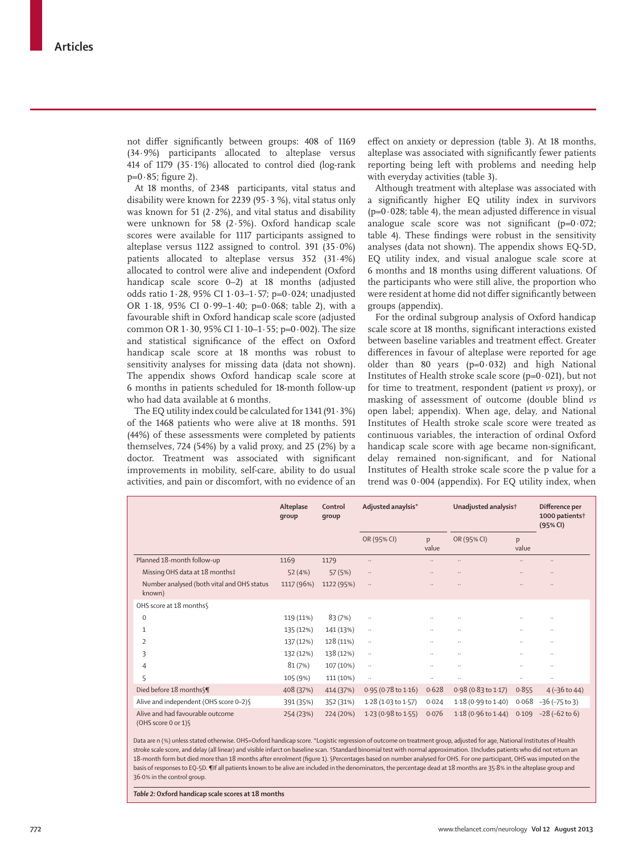not differ significantly between groups: 408 of 1169 (34·9%) participants allocated to alteplase versus 414 of 1179 (35·1%) allocated to control died (log-rank  $p=0.85$ ; figure 2).

At 18 months, of 2348 participants, vital status and disability were known for 2239 (95 $\cdot$ 3 %), vital status only was known for 51 (2 $\cdot$ 2%), and vital status and disability were unknown for 58 (2·5%). Oxford handicap scale scores were available for 1117 participants assigned to alteplase versus 1122 assigned to control. 391  $(35.0\%)$ patients allocated to alteplase versus 352 (31·4%) allocated to control were alive and independent (Oxford handicap scale score 0–2) at 18 months (adjusted odds ratio 1·28, 95% CI 1·03–1·57; p=0·024; unadjusted OR 1·18, 95% CI 0·99–1·40; p=0·068; table 2), with a favourable shift in Oxford handicap scale score (adjusted common OR 1·30, 95% CI 1·10–1·55; p=0·002). The size and statistical significance of the effect on Oxford handicap scale score at 18 months was robust to sensitivity analyses for missing data (data not shown). The appendix shows Oxford handicap scale score at 6 months in patients scheduled for 18-month follow-up who had data available at 6 months.

The EQ utility index could be calculated for 1341 (91·3%) of the 1468 patients who were alive at 18 months. 591 (44%) of these assessments were completed by patients themselves, 724 (54%) by a valid proxy, and 25 (2%) by a doctor. Treatment was associated with significant improvements in mobility, self-care, ability to do usual activities, and pain or discomfort, with no evidence of an effect on anxiety or depression (table 3). At 18 months, alteplase was associated with significantly fewer patients reporting being left with problems and needing help with everyday activities (table 3).

Although treatment with alteplase was associated with a significantly higher EQ utility index in survivors  $(p=0.028;$  table 4), the mean adjusted difference in visual analogue scale score was not significant ( $p=0.072$ ; table 4). These findings were robust in the sensitivity analyses (data not shown). The appendix shows EQ-5D, EQ utility index, and visual analogue scale score at 6 months and 18 months using different valuations. Of the participants who were still alive, the proportion who were resident at home did not differ significantly between groups (appendix).

For the ordinal subgroup analysis of Oxford handicap scale score at 18 months, significant interactions existed between baseline variables and treatment effect. Greater differences in favour of alteplase were reported for age older than 80 years  $(p=0.032)$  and high National Institutes of Health stroke scale score ( $p=0.021$ ), but not for time to treatment, respondent (patient *vs* proxy), or masking of assessment of outcome (double blind *vs* open label; appendix). When age, delay, and National Institutes of Health stroke scale score were treated as continuous variables, the interaction of ordinal Oxford handicap scale score with age became non-significant, delay remained non-significant, and for National Institutes of Health stroke scale score the p value for a trend was 0·004 (appendix). For EQ utility index, when

|                                                          | Alteplase<br>group | Control<br>qroup | Adjusted anaylsis*  |            | Unadjusted analysis†          |            | Difference per<br>1000 patients <sup>†</sup><br>(95% CI) |  |
|----------------------------------------------------------|--------------------|------------------|---------------------|------------|-------------------------------|------------|----------------------------------------------------------|--|
|                                                          |                    |                  | OR (95% CI)         | p<br>value | OR (95% CI)                   | p<br>value |                                                          |  |
| Planned 18-month follow-up                               | 1169               | 1179             | $\ldots$            | ٠.         | $\ddotsc$                     |            | $\ldots$                                                 |  |
| Missing OHS data at 18 months‡                           | 52 (4%)            | 57(5%)           | $\ldots$            | ٠.         | $\ldots$                      |            | $\ldots$                                                 |  |
| Number analysed (both vital and OHS status<br>known)     | 1117 (96%)         | 1122 (95%)       | $\cdot$ .           | .,         | $\ldots$                      |            | $\ldots$                                                 |  |
| OHS score at 18 months                                   |                    |                  |                     |            |                               |            |                                                          |  |
| $\mathbf 0$                                              | 119 (11%)          | 83(7%)           |                     | ٠.         | $\ddotsc$                     |            | $\ldots$                                                 |  |
| 1                                                        | 135 (12%)          | 141 (13%)        | $\ldots$            |            | $\ddotsc$                     |            | $\cdots$                                                 |  |
| 2                                                        | 137 (12%)          | 128 (11%)        | $\ddotsc$           |            |                               |            | $\ddots$                                                 |  |
| 3                                                        | 132 (12%)          | 138 (12%)        | $\ddotsc$           | ٠.         | $\ddotsc$                     |            | $\cdots$                                                 |  |
| 4                                                        | 81(7%)             | 107 (10%)        | $\ddotsc$           | ٠.         |                               |            | $\ddotsc$                                                |  |
| 5                                                        | 105 (9%)           | 111 (10%)        | $\ddotsc$           |            | $\ddotsc$                     | $\ddotsc$  | $\ddots$                                                 |  |
| Died before 18 months \[                                 | 408 (37%)          | 414 (37%)        | 0.95 (0.78 to 1.16) | 0.628      | 0.98 (0.83 to 1.17)           | 0.855      | $4(-36 \text{ to } 44)$                                  |  |
| Alive and independent (OHS score 0-2) §                  | 391 (35%)          | 352 (31%)        | 1.28 (1.03 to 1.57) | 0.024      | $1.18(0.99 \text{ to } 1.40)$ | 0.068      | $-36$ ( $-75$ to 3)                                      |  |
| Alive and had favourable outcome<br>(OHS score 0 or 1) § | 254 (23%)          | 224 (20%)        | 1.23 (0.98 to 1.55) | 0.076      | $1.18(0.96 \text{ to } 1.44)$ | 0.109      | $-28$ ( $-62$ to 6)                                      |  |

Data are n (%) unless stated otherwise. OHS=Oxford handicap score. \*Logistic regression of outcome on treatment group, adjusted for age, National Institutes of Health stroke scale score, and delay (all linear) and visible infarct on baseline scan. †Standard binomial test with normal approximation. ‡Includes patients who did not return an 18-month form but died more than 18 months after enrolment (figure 1). §Percentages based on number analysed for OHS. For one participant, OHS was imputed on the basis of responses to EQ-5D. ¶If all patients known to be alive are included in the denominators, the percentage dead at 18 months are 35·8% in the alteplase group and 36·0% in the control group.

*Table 2:* **Oxford handicap scale scores at 18 months**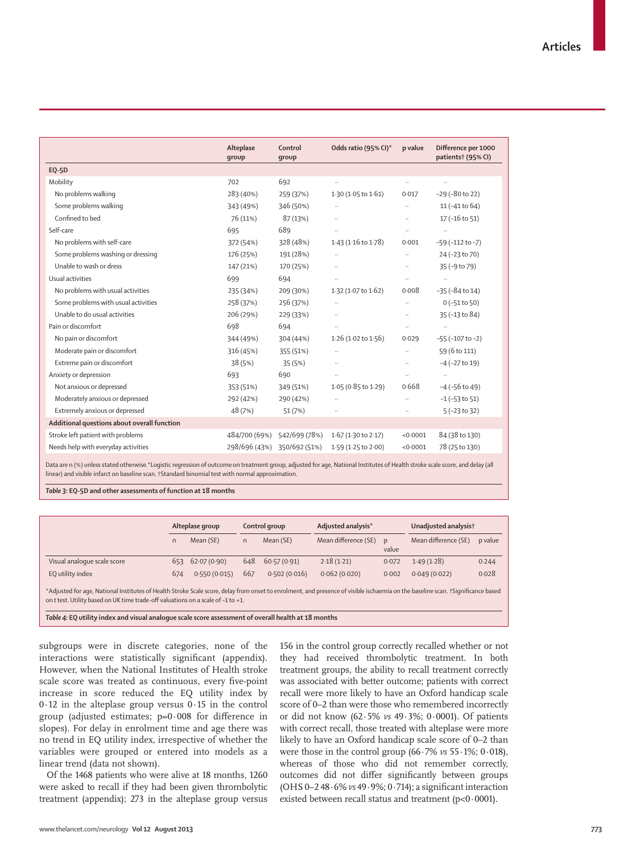|                                                                                                                                                                               | Alteplase<br>group | Control<br>group            | Odds ratio (95% CI)*          | p value  | Difference per 1000<br>patients† (95% CI) |  |  |
|-------------------------------------------------------------------------------------------------------------------------------------------------------------------------------|--------------------|-----------------------------|-------------------------------|----------|-------------------------------------------|--|--|
| <b>EQ-5D</b>                                                                                                                                                                  |                    |                             |                               |          |                                           |  |  |
| Mobility                                                                                                                                                                      | 702                | 692                         | $\ldots$                      | $\ldots$ | $\ldots$                                  |  |  |
| No problems walking                                                                                                                                                           | 283 (40%)          | 259 (37%)                   | $1.30(1.05 \text{ to } 1.61)$ | 0.017    | $-29$ ( $-80$ to 22)                      |  |  |
| Some problems walking                                                                                                                                                         | 343 (49%)          | 346 (50%)                   | $\ldots$                      | Ω.       | 11 (-41 to 64)                            |  |  |
| Confined to bed                                                                                                                                                               | 76 (11%)           | 87 (13%)                    | $\ldots$                      | Ω.       | $17(-16 \text{ to } 51)$                  |  |  |
| Self-care                                                                                                                                                                     | 695                | 689                         |                               | Ω.       | $\ddot{\phantom{1}}$                      |  |  |
| No problems with self-care                                                                                                                                                    | 372 (54%)          | 328 (48%)                   | $1.43(1.16 \text{ to } 1.78)$ | 0.001    | $-59$ ( $-112$ to $-7$ )                  |  |  |
| Some problems washing or dressing                                                                                                                                             | 176 (25%)          | 191 (28%)                   | $\ldots$                      | $\ldots$ | 24 (-23 to 70)                            |  |  |
| Unable to wash or dress                                                                                                                                                       | 147 (21%)          | 170 (25%)                   | $\ldots$                      |          | 35 (-9 to 79)                             |  |  |
| Usual activities                                                                                                                                                              | 699                | 694                         | $\ldots$                      | $\ldots$ | $\ddotsc$                                 |  |  |
| No problems with usual activities                                                                                                                                             | 235 (34%)          | 209 (30%)                   | $1.32$ (1.07 to $1.62$ )      | 0.008    | $-35 (-84 to 14)$                         |  |  |
| Some problems with usual activities                                                                                                                                           | 258 (37%)          | 256 (37%)                   | $\ddots$                      | Ω.       | $0$ (-51 to 50)                           |  |  |
| Unable to do usual activities                                                                                                                                                 | 206 (29%)          | 229 (33%)                   | $\ldots$                      |          | 35 (-13 to 84)                            |  |  |
| Pain or discomfort                                                                                                                                                            | 698                | 694                         | $\ldots$                      | Ω.       |                                           |  |  |
| No pain or discomfort                                                                                                                                                         | 344 (49%)          | 304 (44%)                   | $1.26$ (1.02 to $1.56$ )      | 0.029    | $-55 (-107 to -2)$                        |  |  |
| Moderate pain or discomfort                                                                                                                                                   | 316 (45%)          | 355 (51%)                   | $\ldots$                      | $\ldots$ | 59 (6 to 111)                             |  |  |
| Extreme pain or discomfort                                                                                                                                                    | 38 (5%)            | 35 (5%)                     | $\ldots$                      | Ω.       | $-4$ ( $-27$ to 19)                       |  |  |
| Anxiety or depression                                                                                                                                                         | 693                | 690                         | $\ldots$                      | $\ldots$ | $\ldots$                                  |  |  |
| Not anxious or depressed                                                                                                                                                      | 353 (51%)          | 349 (51%)                   | $1.05(0.85 \text{ to } 1.29)$ | 0.668    | $-4$ ( $-56$ to 49)                       |  |  |
| Moderately anxious or depressed                                                                                                                                               | 292 (42%)          | 290 (42%)                   | $\ldots$                      | Ω.       | $-1$ ( $-53$ to $51$ )                    |  |  |
| Extremely anxious or depressed                                                                                                                                                | 48 (7%)            | 51 (7%)                     | $\ldots$                      |          | $5(-23 to 32)$                            |  |  |
| Additional questions about overall function                                                                                                                                   |                    |                             |                               |          |                                           |  |  |
| Stroke left patient with problems                                                                                                                                             | 484/700 (69%)      | 542/699 (78%)               | $1.67(1.30 \text{ to } 2.17)$ | < 0.0001 | 84 (38 to 130)                            |  |  |
| Needs help with everyday activities                                                                                                                                           |                    | 298/696 (43%) 350/692 (51%) | 1.59 (1.25 to 2.00)           | < 0.0001 | 78 (25 to 130)                            |  |  |
| Data are n (%) unless stated otherwise *Logistic regression of outcome on treatment group, adjusted for age. National Institutes of Health stroke scale score, and delay (all |                    |                             |                               |          |                                           |  |  |

Data are n (%) unless stated otherwise.\*Logistic regression of outcome on treatment group, adjusted for age, National Institutes of Health stroke scale score, and delay (all linear) and visible infarct on baseline scan. †Standard binomial test with normal approximation.

*Table 3:* **EQ-5D and other assessments of function at 18 months**

|                             | Alteplase group |                     | Control group |                  | Adjusted analysis*   |       | Unadjusted analysis† |         |
|-----------------------------|-----------------|---------------------|---------------|------------------|----------------------|-------|----------------------|---------|
|                             |                 | Mean (SE)           |               | Mean (SE)        | Mean difference (SE) | value | Mean difference (SE) | p value |
| Visual analoque scale score |                 | $653$ $62.07(0.90)$ |               | 648 60.57 (0.91) | 2.18(1.21)           | 0.072 | 1.49(1.28)           | 0.244   |
| EQ utility index            | 674             | 0.550(0.015)        | 667           | 0.502(0.016)     | 0.062(0.020)         | 0.002 | 0.049(0.022)         | 0.028   |

\*Adjusted for age, National Institutes of Health Stroke Scale score, delay from onset to enrolment, and presence of visible ischaemia on the baseline scan. †Signifi cance based on *t* test. Utility based on UK time trade-off valuations on a scale of –1 to +1.

*Table 4:* **EQ utility index and visual analogue scale score assessment of overall health at 18 months**

subgroups were in discrete categories, none of the interactions were statistically significant (appendix). However, when the National Institutes of Health stroke scale score was treated as continuous, every five-point increase in score reduced the EQ utility index by 0·12 in the alteplase group versus 0·15 in the control group (adjusted estimates;  $p=0.008$  for difference in slopes). For delay in enrolment time and age there was no trend in EQ utility index, irrespective of whether the variables were grouped or entered into models as a linear trend (data not shown).

Of the 1468 patients who were alive at 18 months, 1260 were asked to recall if they had been given thrombolytic treatment (appendix); 273 in the alteplase group versus 156 in the control group correctly recalled whether or not they had received thrombolytic treatment. In both treatment groups, the ability to recall treatment correctly was associated with better outcome; patients with correct recall were more likely to have an Oxford handicap scale score of 0–2 than were those who remembered incorrectly or did not know (62·5% *vs* 49·3%; 0·0001). Of patients with correct recall, those treated with alteplase were more likely to have an Oxford handicap scale score of 0–2 than were those in the control group (66·7% *vs* 55·1%; 0·018), whereas of those who did not remember correctly, outcomes did not differ significantly between groups (OHS  $0-248.6\%$  *vs*  $49.9\%$ ;  $0.714$ ); a significant interaction existed between recall status and treatment ( $p<0.0001$ ).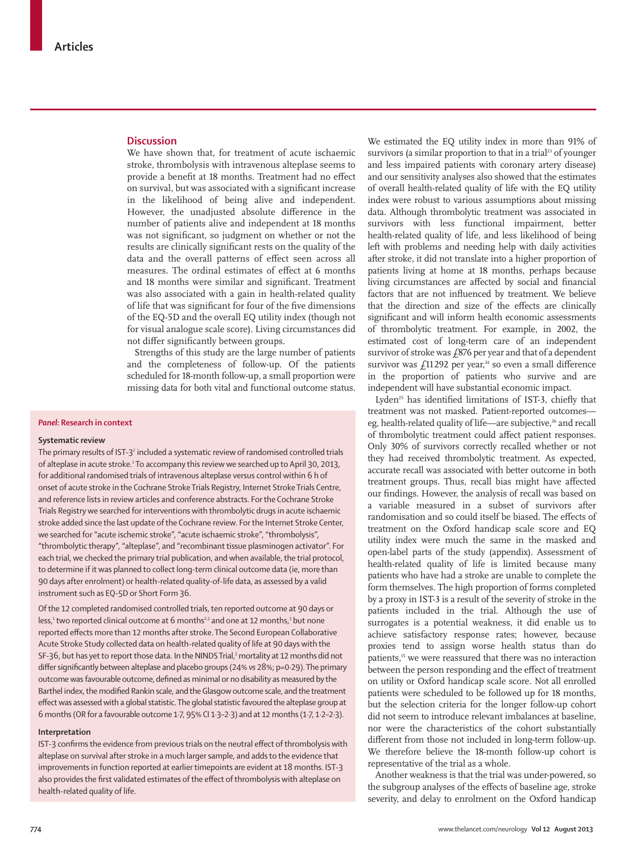### **Discussion**

We have shown that, for treatment of acute ischaemic stroke, thrombolysis with intravenous alteplase seems to provide a benefit at 18 months. Treatment had no effect on survival, but was associated with a significant increase in the likelihood of being alive and independent. However, the unadjusted absolute difference in the number of patients alive and independent at 18 months was not significant, so judgment on whether or not the results are clinically significant rests on the quality of the data and the overall patterns of effect seen across all measures. The ordinal estimates of effect at 6 months and 18 months were similar and significant. Treatment was also associated with a gain in health-related quality of life that was significant for four of the five dimensions of the EQ-5D and the overall EQ utility index (though not for visual analogue scale score). Living circumstances did not differ significantly between groups.

Strengths of this study are the large number of patients and the completeness of follow-up. Of the patients scheduled for 18-month follow-up, a small proportion were missing data for both vital and functional outcome status.

#### *Panel:* **Research in context**

#### **Systematic review**

The primary results of IST-3 $^2$  included a systematic review of randomised controlled trials of alteplase in acute stroke.<sup>1</sup> To accompany this review we searched up to April 30, 2013, for additional randomised trials of intravenous alteplase versus control within 6 h of onset of acute stroke in the Cochrane Stroke Trials Registry, Internet Stroke Trials Centre, and reference lists in review articles and conference abstracts. For the Cochrane Stroke Trials Registry we searched for interventions with thrombolytic drugs in acute ischaemic stroke added since the last update of the Cochrane review. For the Internet Stroke Center, we searched for "acute ischemic stroke", "acute ischaemic stroke", "thrombolysis", "thrombolytic therapy", "alteplase", and "recombinant tissue plasminogen activator". For each trial, we checked the primary trial publication, and when available, the trial protocol, to determine if it was planned to collect long-term clinical outcome data (ie, more than 90 days after enrolment) or health-related quality-of-life data, as assessed by a valid instrument such as EQ-5D or Short Form 36.

Of the 12 completed randomised controlled trials, ten reported outcome at 90 days or less,<sup>1</sup> two reported clinical outcome at 6 months<sup>23</sup> and one at 12 months,<sup>3</sup> but none reported effects more than 12 months after stroke. The Second European Collaborative Acute Stroke Study collected data on health-related quality of life at 90 days with the SF-36, but has yet to report those data. In the NINDS Trial,3 mortality at 12 months did not differ significantly between alteplase and placebo groups (24% vs 28%; p=0·29). The primary outcome was favourable outcome, defined as minimal or no disability as measured by the Barthel index, the modified Rankin scale, and the Glasgow outcome scale, and the treatment effect was assessed with a global statistic. The global statistic favoured the alteplase group at 6 months (OR for a favourable outcome 1·7, 95% CI 1·3–2·3) and at 12 months (1·7, 1·2–2·3).

#### **Interpretation**

IST-3 confirms the evidence from previous trials on the neutral effect of thrombolysis with alteplase on survival after stroke in a much larger sample, and adds to the evidence that improvements in function reported at earlier timepoints are evident at 18 months. IST-3 also provides the first validated estimates of the effect of thrombolysis with alteplase on health-related quality of life.

We estimated the EQ utility index in more than 91% of survivors (a similar proportion to that in a trial<sup>23</sup> of younger and less impaired patients with coronary artery disease) and our sensitivity analyses also showed that the estimates of overall health-related quality of life with the EQ utility index were robust to various assumptions about missing data. Although thrombolytic treatment was associated in survivors with less functional impairment, better health-related quality of life, and less likelihood of being left with problems and needing help with daily activities after stroke, it did not translate into a higher proportion of patients living at home at 18 months, perhaps because living circumstances are affected by social and financial factors that are not influenced by treatment. We believe that the direction and size of the effects are clinically significant and will inform health economic assessments of thrombolytic treatment. For example, in 2002, the estimated cost of long-term care of an independent survivor of stroke was £876 per year and that of a dependent survivor was  $f_{.}11292$  per year,<sup>24</sup> so even a small difference in the proportion of patients who survive and are independent will have substantial economic impact.

Lyden<sup>25</sup> has identified limitations of IST-3, chiefly that treatment was not masked. Patient-reported outcomes eg, health-related quality of life—are subjective,<sup>26</sup> and recall of thrombolytic treatment could affect patient responses. Only 30% of survivors correctly recalled whether or not they had received thrombolytic treatment. As expected, accurate recall was associated with better outcome in both treatment groups. Thus, recall bias might have affected our findings. However, the analysis of recall was based on a variable measured in a subset of survivors after randomisation and so could itself be biased. The effects of treatment on the Oxford handicap scale score and EQ utility index were much the same in the masked and open-label parts of the study (appendix). Assessment of health-related quality of life is limited because many patients who have had a stroke are unable to complete the form themselves. The high proportion of forms completed by a proxy in IST-3 is a result of the severity of stroke in the patients included in the trial. Although the use of surrogates is a potential weakness, it did enable us to achieve satisfactory response rates; however, because proxies tend to assign worse health status than do patients,<sup>15</sup> we were reassured that there was no interaction between the person responding and the effect of treatment on utility or Oxford handicap scale score. Not all enrolled patients were scheduled to be followed up for 18 months, but the selection criteria for the longer follow-up cohort did not seem to introduce relevant imbalances at baseline, nor were the characteristics of the cohort substantially different from those not included in long-term follow-up. We therefore believe the 18-month follow-up cohort is representative of the trial as a whole.

Another weakness is that the trial was under-powered, so the subgroup analyses of the effects of baseline age, stroke severity, and delay to enrolment on the Oxford handicap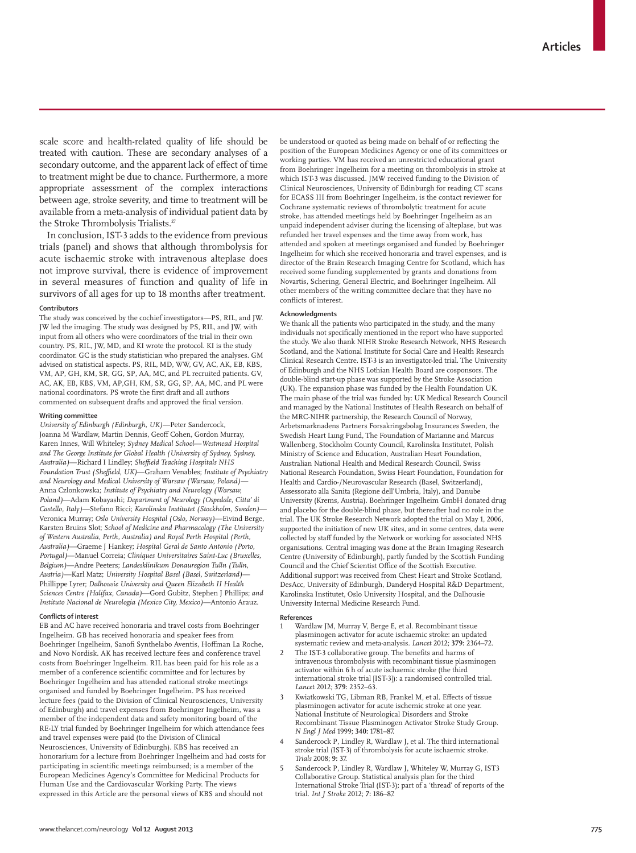scale score and health-related quality of life should be treated with caution. These are secondary analyses of a secondary outcome, and the apparent lack of effect of time to treatment might be due to chance. Furthermore, a more appropriate assessment of the complex interactions between age, stroke severity, and time to treatment will be available from a meta-analysis of individual patient data by the Stroke Thrombolysis Trialists.<sup>27</sup>

In conclusion, IST-3 adds to the evidence from previous trials (panel) and shows that although thrombolysis for acute ischaemic stroke with intravenous alteplase does not improve survival, there is evidence of improvement in several measures of function and quality of life in survivors of all ages for up to 18 months after treatment.

#### **Contributors**

The study was conceived by the cochief investigators—PS, RIL, and JW. JW led the imaging. The study was designed by PS, RIL, and JW, with input from all others who were coordinators of the trial in their own country. PS, RIL, JW, MD, and KI wrote the protocol. KI is the study coordinator. GC is the study statistician who prepared the analyses. GM advised on statistical aspects. PS, RIL, MD, WW, GV, AC, AK, EB, KBS, VM, AP, GH, KM, SR, GG, SP, AA, MC, and PL recruited patients. GV, AC, AK, EB, KBS, VM, AP,GH, KM, SR, GG, SP, AA, MC, and PL were national coordinators. PS wrote the first draft and all authors commented on subsequent drafts and approved the final version.

#### **Writing committee**

*University of Edinburgh (Edinburgh, UK)*—Peter Sandercock, Joanna M Wardlaw, Martin Dennis, Geoff Cohen, Gordon Murray, Karen Innes, Will Whiteley; *Sydney Medical School*—*Westmead Hospital and The George Institute for Global Health (University of Sydney, Sydney,*  Australia)—Richard I Lindley; Sheffield Teaching Hospitals NHS *Foundation Trust (Sheffield, UK)*—Graham Venables; *Institute of Psychiatry and Neurology and Medical University of Warsaw (Warsaw, Poland)—* Anna Czlonkowska; *Institute of Psychiatry and Neurology (Warsaw, Poland)*—Adam Kobayashi; *Department of Neurology (Ospedale, Citta' di Castello, Italy)*—Stefano Ricci; *Karolinska Institutet (Stockholm, Sweden)*— Veronica Murray; *Oslo University Hospital (Oslo, Norway)*—Eivind Berge, Karsten Bruins Slot; *School of Medicine and Pharmacology (The University of Western Australia, Perth, Australia) and Royal Perth Hospital (Perth, Australia)*—Graeme J Hankey; *Hospital Geral de Santo Antonio (Porto, Portugal)*—Manuel Correia; *Cliniques Universitaires Saint-Luc (Bruxelles, Belgium)*—Andre Peeters; *Landesklinikum Donauregion Tulln (Tulln, Austria)*—Karl Matz; *University Hospital Basel (Basel, Switzerland)*— Phillippe Lyrer; *Dalhousie University and Queen Elizabeth II Health Sciences Centre (Halifax, Canada)*—Gord Gubitz, Stephen J Phillips; *and Instituto Nacional de Neurologia (Mexico City, Mexico)*—Antonio Arauz.

#### **Confl icts of interest**

EB and AC have received honoraria and travel costs from Boehringer Ingelheim. GB has received honoraria and speaker fees from Boehringer Ingelheim, Sanofi Synthelabo Aventis, Hoffman La Roche, and Novo Nordisk. AK has received lecture fees and conference travel costs from Boehringer Ingelheim. RIL has been paid for his role as a member of a conference scientific committee and for lectures by Boehringer Ingelheim and has attended national stroke meetings organised and funded by Boehringer Ingelheim. PS has received lecture fees (paid to the Division of Clinical Neurosciences, University of Edinburgh) and travel expenses from Boehringer Ingelheim, was a member of the independent data and safety monitoring board of the RE-LY trial funded by Boehringer Ingelheim for which attendance fees and travel expenses were paid (to the Division of Clinical Neurosciences, University of Edinburgh). KBS has received an honorarium for a lecture from Boehringer Ingelheim and had costs for participating in scientific meetings reimbursed; is a member of the European Medicines Agency's Committee for Medicinal Products for Human Use and the Cardiovascular Working Party. The views expressed in this Article are the personal views of KBS and should not

be understood or quoted as being made on behalf of or reflecting the position of the European Medicines Agency or one of its committees or working parties. VM has received an unrestricted educational grant from Boehringer Ingelheim for a meeting on thrombolysis in stroke at which IST-3 was discussed. JMW received funding to the Division of Clinical Neurosciences, University of Edinburgh for reading CT scans for ECASS III from Boehringer Ingelheim, is the contact reviewer for Cochrane systematic reviews of thrombolytic treatment for acute stroke, has attended meetings held by Boehringer Ingelheim as an unpaid independent adviser during the licensing of alteplase, but was refunded her travel expenses and the time away from work, has attended and spoken at meetings organised and funded by Boehringer Ingelheim for which she received honoraria and travel expenses, and is director of the Brain Research Imaging Centre for Scotland, which has received some funding supplemented by grants and donations from Novartis, Schering, General Electric, and Boehringer Ingelheim. All other members of the writing committee declare that they have no conflicts of interest.

#### **Acknowledgments**

We thank all the patients who participated in the study, and the many individuals not specifically mentioned in the report who have supported the study. We also thank NIHR Stroke Research Network, NHS Research Scotland, and the National Institute for Social Care and Health Research Clinical Research Centre. IST-3 is an investigator-led trial. The University of Edinburgh and the NHS Lothian Health Board are cosponsors. The double-blind start-up phase was supported by the Stroke Association (UK). The expansion phase was funded by the Health Foundation UK. The main phase of the trial was funded by: UK Medical Research Council and managed by the National Institutes of Health Research on behalf of the MRC-NIHR partnership, the Research Council of Norway, Arbetsmarknadens Partners Forsakringsbolag Insurances Sweden, the Swedish Heart Lung Fund, The Foundation of Marianne and Marcus Wallenberg, Stockholm County Council, Karolinska Institutet, Polish Ministry of Science and Education, Australian Heart Foundation, Australian National Health and Medical Research Council, Swiss National Research Foundation, Swiss Heart Foundation, Foundation for Health and Cardio-/Neurovascular Research (Basel, Switzerland), Assessorato alla Sanita (Regione dell'Umbria, Italy), and Danube University (Krems, Austria). Boehringer Ingelheim GmbH donated drug and placebo for the double-blind phase, but thereafter had no role in the trial. The UK Stroke Research Network adopted the trial on May 1, 2006, supported the initiation of new UK sites, and in some centres, data were collected by staff funded by the Network or working for associated NHS organisations. Central imaging was done at the Brain Imaging Research Centre (University of Edinburgh), partly funded by the Scottish Funding Council and the Chief Scientist Office of the Scottish Executive. Additional support was received from Chest Heart and Stroke Scotland, DesAcc, University of Edinburgh, Danderyd Hospital R&D Department, Karolinska Institutet, Oslo University Hospital, and the Dalhousie University Internal Medicine Research Fund.

#### **References**

- Wardlaw JM, Murray V, Berge E, et al. Recombinant tissue plasminogen activator for acute ischaemic stroke: an updated systematic review and meta-analysis. *Lancet* 2012; **379:** 2364–72.
- The IST-3 collaborative group. The benefits and harms of intravenous thrombolysis with recombinant tissue plasminogen activator within 6 h of acute ischaemic stroke (the third international stroke trial [IST-3]): a randomised controlled trial. *Lancet* 2012; **379:** 2352–63.
- Kwiatkowski TG, Libman RB, Frankel M, et al. Effects of tissue plasminogen activator for acute ischemic stroke at one year. National Institute of Neurological Disorders and Stroke Recombinant Tissue Plasminogen Activator Stroke Study Group. *N Engl J Med* 1999; **340:** 1781–87.
- Sandercock P, Lindley R, Wardlaw J, et al. The third international stroke trial (IST-3) of thrombolysis for acute ischaemic stroke. *Trials* 2008; **9:** 37.
- 5 Sandercock P, Lindley R, Wardlaw J, Whiteley W, Murray G, IST3 Collaborative Group. Statistical analysis plan for the third International Stroke Trial (IST-3); part of a 'thread' of reports of the trial. *Int J Stroke* 2012; **7:** 186–87.